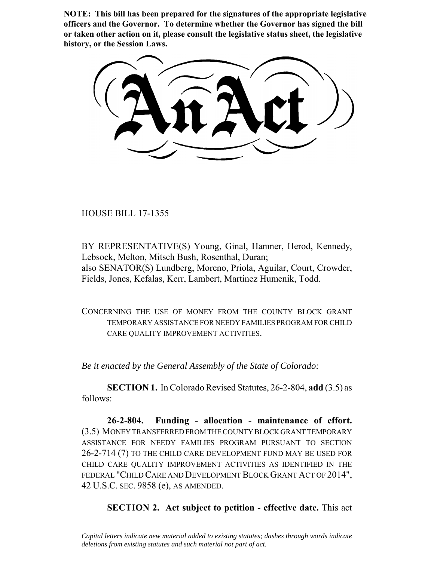**NOTE: This bill has been prepared for the signatures of the appropriate legislative officers and the Governor. To determine whether the Governor has signed the bill or taken other action on it, please consult the legislative status sheet, the legislative history, or the Session Laws.**

HOUSE BILL 17-1355

 $\frac{1}{2}$ 

BY REPRESENTATIVE(S) Young, Ginal, Hamner, Herod, Kennedy, Lebsock, Melton, Mitsch Bush, Rosenthal, Duran; also SENATOR(S) Lundberg, Moreno, Priola, Aguilar, Court, Crowder, Fields, Jones, Kefalas, Kerr, Lambert, Martinez Humenik, Todd.

CONCERNING THE USE OF MONEY FROM THE COUNTY BLOCK GRANT TEMPORARY ASSISTANCE FOR NEEDY FAMILIES PROGRAM FOR CHILD CARE QUALITY IMPROVEMENT ACTIVITIES.

*Be it enacted by the General Assembly of the State of Colorado:*

**SECTION 1.** In Colorado Revised Statutes, 26-2-804, **add** (3.5) as follows:

**26-2-804. Funding - allocation - maintenance of effort.** (3.5) MONEY TRANSFERRED FROM THE COUNTY BLOCK GRANT TEMPORARY ASSISTANCE FOR NEEDY FAMILIES PROGRAM PURSUANT TO SECTION 26-2-714 (7) TO THE CHILD CARE DEVELOPMENT FUND MAY BE USED FOR CHILD CARE QUALITY IMPROVEMENT ACTIVITIES AS IDENTIFIED IN THE FEDERAL "CHILD CARE AND DEVELOPMENT BLOCK GRANT ACT OF 2014", 42 U.S.C. SEC. 9858 (e), AS AMENDED.

**SECTION 2. Act subject to petition - effective date.** This act

*Capital letters indicate new material added to existing statutes; dashes through words indicate deletions from existing statutes and such material not part of act.*